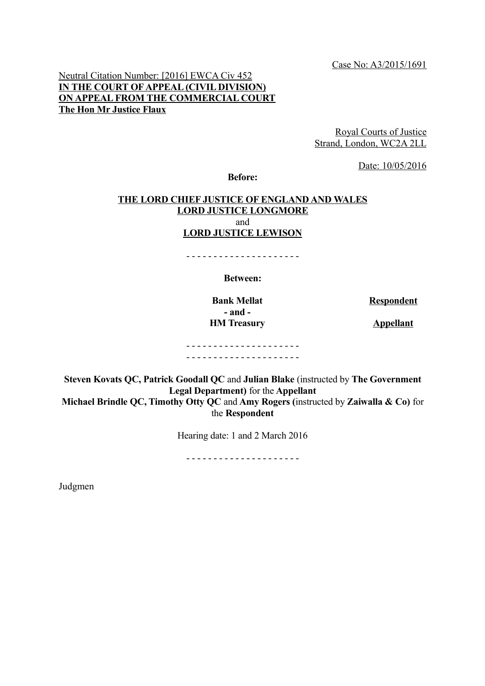Case No: A3/2015/1691

## Neutral Citation Number: [2016] EWCA Civ 452 **IN THE COURT OF APPEAL (CIVIL DIVISION) ON APPEAL FROM THE COMMERCIAL COURT The Hon Mr Justice Flaux**

Royal Courts of Justice Strand, London, WC2A 2LL

Date: 10/05/2016

**Before:**

#### **THE LORD CHIEF JUSTICE OF ENGLAND AND WALES LORD JUSTICE LONGMORE** and **LORD JUSTICE LEWISON**

**Between:**

- - - - - - - - - - - - - - - - - - - - -

**- and - HM Treasury Appellant** 

**Bank Mellat Respondent** 

- - - - - - - - - - - - - - - - - - - - - - - - - - - - - - - - - - - - - - - - - -

**Steven Kovats QC, Patrick Goodall QC** and **Julian Blake** (instructed by **The Government Legal Department)** for the **Appellant Michael Brindle QC, Timothy Otty QC** and **Amy Rogers (**instructed by **Zaiwalla & Co)** for the **Respondent**

Hearing date: 1 and 2 March 2016

- - - - - - - - - - - - - - - - - - - - -

Judgmen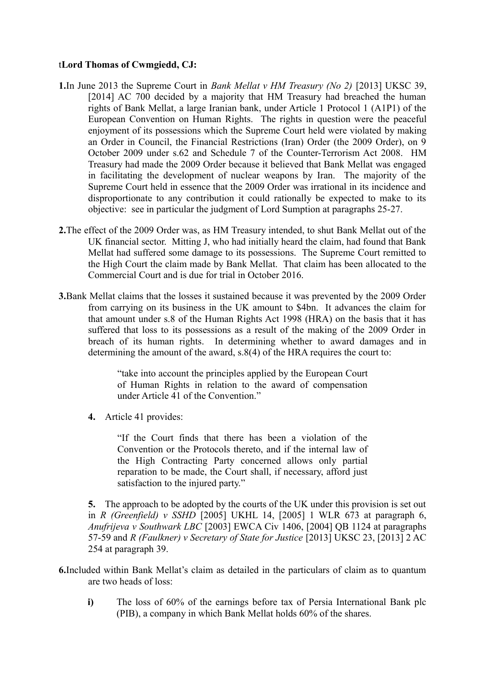### t**Lord Thomas of Cwmgiedd, CJ:**

- **1.**In June 2013 the Supreme Court in *Bank Mellat v HM Treasury (No 2)* [2013] UKSC 39, [2014] AC 700 decided by a majority that HM Treasury had breached the human rights of Bank Mellat, a large Iranian bank, under Article 1 Protocol 1 (A1P1) of the European Convention on Human Rights. The rights in question were the peaceful enjoyment of its possessions which the Supreme Court held were violated by making an Order in Council, the Financial Restrictions (Iran) Order (the 2009 Order), on 9 October 2009 under s.62 and Schedule 7 of the Counter-Terrorism Act 2008. HM Treasury had made the 2009 Order because it believed that Bank Mellat was engaged in facilitating the development of nuclear weapons by Iran. The majority of the Supreme Court held in essence that the 2009 Order was irrational in its incidence and disproportionate to any contribution it could rationally be expected to make to its objective: see in particular the judgment of Lord Sumption at paragraphs 25-27.
- **2.**The effect of the 2009 Order was, as HM Treasury intended, to shut Bank Mellat out of the UK financial sector. Mitting J, who had initially heard the claim, had found that Bank Mellat had suffered some damage to its possessions. The Supreme Court remitted to the High Court the claim made by Bank Mellat. That claim has been allocated to the Commercial Court and is due for trial in October 2016.
- **3.**Bank Mellat claims that the losses it sustained because it was prevented by the 2009 Order from carrying on its business in the UK amount to \$4bn. It advances the claim for that amount under s.8 of the Human Rights Act 1998 (HRA) on the basis that it has suffered that loss to its possessions as a result of the making of the 2009 Order in breach of its human rights. In determining whether to award damages and in determining the amount of the award, s.8(4) of the HRA requires the court to:

"take into account the principles applied by the European Court of Human Rights in relation to the award of compensation under Article 41 of the Convention."

**4.** Article 41 provides:

"If the Court finds that there has been a violation of the Convention or the Protocols thereto, and if the internal law of the High Contracting Party concerned allows only partial reparation to be made, the Court shall, if necessary, afford just satisfaction to the injured party."

**5.** The approach to be adopted by the courts of the UK under this provision is set out in *R (Greenfield) v SSHD* [2005] UKHL 14, [2005] 1 WLR 673 at paragraph 6, *Anufrijeva v Southwark LBC* [2003] EWCA Civ 1406, [2004] QB 1124 at paragraphs 57-59 and *R (Faulkner) v Secretary of State for Justice* [2013] UKSC 23, [2013] 2 AC 254 at paragraph 39.

- **6.**Included within Bank Mellat's claim as detailed in the particulars of claim as to quantum are two heads of loss:
	- **i)** The loss of 60% of the earnings before tax of Persia International Bank plc (PIB), a company in which Bank Mellat holds 60% of the shares.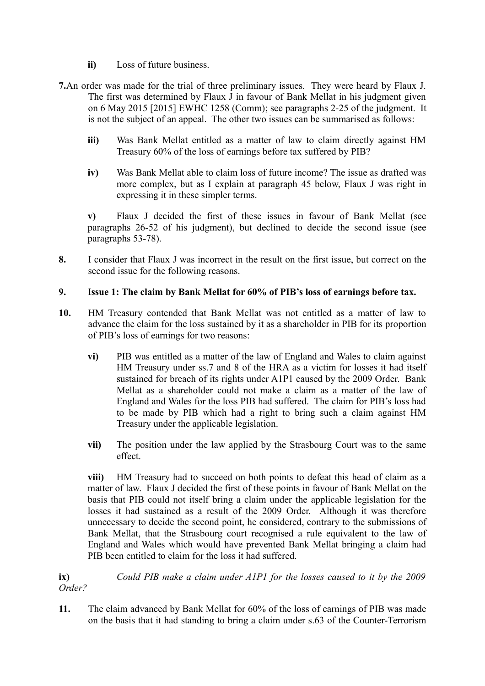- **ii)** Loss of future business.
- **7.**An order was made for the trial of three preliminary issues. They were heard by Flaux J. The first was determined by Flaux J in favour of Bank Mellat in his judgment given on 6 May 2015 [2015] EWHC 1258 (Comm); see paragraphs 2-25 of the judgment. It is not the subject of an appeal. The other two issues can be summarised as follows:
	- **iii)** Was Bank Mellat entitled as a matter of law to claim directly against HM Treasury 60% of the loss of earnings before tax suffered by PIB?
	- **iv)** Was Bank Mellat able to claim loss of future income? The issue as drafted was more complex, but as I explain at paragraph [45](#page-11-0) below, Flaux J was right in expressing it in these simpler terms.

**v)** Flaux J decided the first of these issues in favour of Bank Mellat (see paragraphs 26-52 of his judgment), but declined to decide the second issue (see paragraphs 53-78).

**8.** I consider that Flaux J was incorrect in the result on the first issue, but correct on the second issue for the following reasons.

#### **9.** I**ssue 1: The claim by Bank Mellat for 60% of PIB's loss of earnings before tax.**

- **10.** HM Treasury contended that Bank Mellat was not entitled as a matter of law to advance the claim for the loss sustained by it as a shareholder in PIB for its proportion of PIB's loss of earnings for two reasons:
	- **vi)** PIB was entitled as a matter of the law of England and Wales to claim against HM Treasury under ss.7 and 8 of the HRA as a victim for losses it had itself sustained for breach of its rights under A1P1 caused by the 2009 Order. Bank Mellat as a shareholder could not make a claim as a matter of the law of England and Wales for the loss PIB had suffered. The claim for PIB's loss had to be made by PIB which had a right to bring such a claim against HM Treasury under the applicable legislation.
	- **vii)** The position under the law applied by the Strasbourg Court was to the same effect.

**viii)** HM Treasury had to succeed on both points to defeat this head of claim as a matter of law. Flaux J decided the first of these points in favour of Bank Mellat on the basis that PIB could not itself bring a claim under the applicable legislation for the losses it had sustained as a result of the 2009 Order. Although it was therefore unnecessary to decide the second point, he considered, contrary to the submissions of Bank Mellat, that the Strasbourg court recognised a rule equivalent to the law of England and Wales which would have prevented Bank Mellat bringing a claim had PIB been entitled to claim for the loss it had suffered.

**ix)** *Could PIB make a claim under A1P1 for the losses caused to it by the 2009 Order?*

**11.** The claim advanced by Bank Mellat for 60% of the loss of earnings of PIB was made on the basis that it had standing to bring a claim under s.63 of the Counter-Terrorism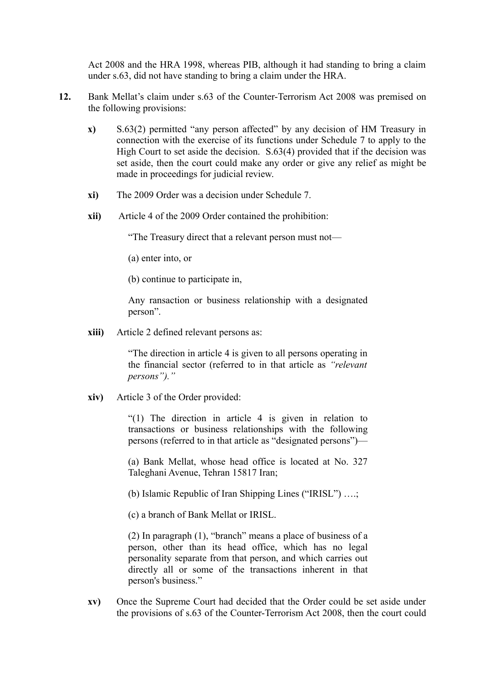Act 2008 and the HRA 1998, whereas PIB, although it had standing to bring a claim under s.63, did not have standing to bring a claim under the HRA.

- **12.** Bank Mellat's claim under s.63 of the Counter-Terrorism Act 2008 was premised on the following provisions:
	- **x)** S.63(2) permitted "any person affected" by any decision of HM Treasury in connection with the exercise of its functions under Schedule 7 to apply to the High Court to set aside the decision. S.63(4) provided that if the decision was set aside, then the court could make any order or give any relief as might be made in proceedings for judicial review.
	- **xi)** The 2009 Order was a decision under Schedule 7.
	- **xii)** Article 4 of the 2009 Order contained the prohibition:

"The Treasury direct that a relevant person must not—

(a) enter into, or

(b) continue to participate in,

Any ransaction or business relationship with a designated person".

**xiii)** Article 2 defined relevant persons as:

"The direction in article 4 is given to all persons operating in the financial sector (referred to in that article as *"relevant persons")."*

**xiv)** Article 3 of the Order provided:

"(1) The direction in article 4 is given in relation to transactions or business relationships with the following persons (referred to in that article as "designated persons")—

(a) Bank Mellat, whose head office is located at No. 327 Taleghani Avenue, Tehran 15817 Iran;

(b) Islamic Republic of Iran Shipping Lines ("IRISL") ….;

(c) a branch of Bank Mellat or IRISL.

(2) In paragraph (1), "branch" means a place of business of a person, other than its head office, which has no legal personality separate from that person, and which carries out directly all or some of the transactions inherent in that person's business."

**xv)** Once the Supreme Court had decided that the Order could be set aside under the provisions of s.63 of the Counter-Terrorism Act 2008, then the court could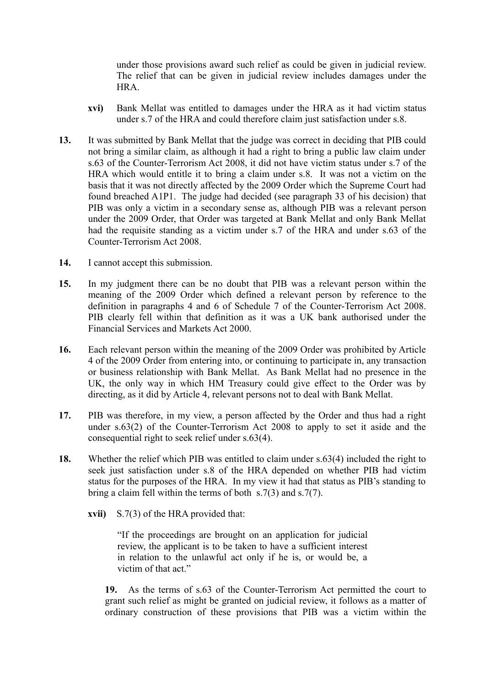under those provisions award such relief as could be given in judicial review. The relief that can be given in judicial review includes damages under the HRA.

- **xvi)** Bank Mellat was entitled to damages under the HRA as it had victim status under s.7 of the HRA and could therefore claim just satisfaction under s.8.
- **13.** It was submitted by Bank Mellat that the judge was correct in deciding that PIB could not bring a similar claim, as although it had a right to bring a public law claim under s.63 of the Counter-Terrorism Act 2008, it did not have victim status under s.7 of the HRA which would entitle it to bring a claim under s.8. It was not a victim on the basis that it was not directly affected by the 2009 Order which the Supreme Court had found breached A1P1. The judge had decided (see paragraph 33 of his decision) that PIB was only a victim in a secondary sense as, although PIB was a relevant person under the 2009 Order, that Order was targeted at Bank Mellat and only Bank Mellat had the requisite standing as a victim under s.7 of the HRA and under s.63 of the Counter-Terrorism Act 2008.
- **14.** I cannot accept this submission.
- **15.** In my judgment there can be no doubt that PIB was a relevant person within the meaning of the 2009 Order which defined a relevant person by reference to the definition in paragraphs 4 and 6 of Schedule 7 of the Counter-Terrorism Act 2008. PIB clearly fell within that definition as it was a UK bank authorised under the Financial Services and Markets Act 2000.
- **16.** Each relevant person within the meaning of the 2009 Order was prohibited by Article 4 of the 2009 Order from entering into, or continuing to participate in, any transaction or business relationship with Bank Mellat. As Bank Mellat had no presence in the UK, the only way in which HM Treasury could give effect to the Order was by directing, as it did by Article 4, relevant persons not to deal with Bank Mellat.
- **17.** PIB was therefore, in my view, a person affected by the Order and thus had a right under s.63(2) of the Counter-Terrorism Act 2008 to apply to set it aside and the consequential right to seek relief under s.63(4).
- **18.** Whether the relief which PIB was entitled to claim under s.63(4) included the right to seek just satisfaction under s.8 of the HRA depended on whether PIB had victim status for the purposes of the HRA. In my view it had that status as PIB's standing to bring a claim fell within the terms of both s.7(3) and s.7(7).
	- **xvii)** S.7(3) of the HRA provided that:

"If the proceedings are brought on an application for judicial review, the applicant is to be taken to have a sufficient interest in relation to the unlawful act only if he is, or would be, a victim of that act."

**19.** As the terms of s.63 of the Counter-Terrorism Act permitted the court to grant such relief as might be granted on judicial review, it follows as a matter of ordinary construction of these provisions that PIB was a victim within the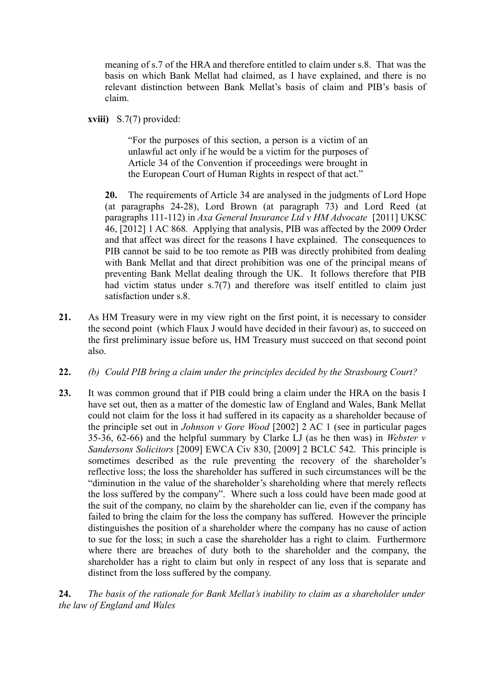meaning of s.7 of the HRA and therefore entitled to claim under s.8. That was the basis on which Bank Mellat had claimed, as I have explained, and there is no relevant distinction between Bank Mellat's basis of claim and PIB's basis of claim.

**xviii)** S.7(7) provided:

"For the purposes of this section, a person is a victim of an unlawful act only if he would be a victim for the purposes of Article 34 of the Convention if proceedings were brought in the European Court of Human Rights in respect of that act."

**20.** The requirements of Article 34 are analysed in the judgments of Lord Hope (at paragraphs 24-28), Lord Brown (at paragraph 73) and Lord Reed (at paragraphs 111-112) in *Axa General Insurance Ltd v HM Advocate* [2011] UKSC 46, [2012] 1 AC 868*.* Applying that analysis, PIB was affected by the 2009 Order and that affect was direct for the reasons I have explained. The consequences to PIB cannot be said to be too remote as PIB was directly prohibited from dealing with Bank Mellat and that direct prohibition was one of the principal means of preventing Bank Mellat dealing through the UK. It follows therefore that PIB had victim status under s.7(7) and therefore was itself entitled to claim just satisfaction under s.8.

- **21.** As HM Treasury were in my view right on the first point, it is necessary to consider the second point (which Flaux J would have decided in their favour) as, to succeed on the first preliminary issue before us, HM Treasury must succeed on that second point also.
- **22.** *(b) Could PIB bring a claim under the principles decided by the Strasbourg Court?*
- **23.** It was common ground that if PIB could bring a claim under the HRA on the basis I have set out, then as a matter of the domestic law of England and Wales, Bank Mellat could not claim for the loss it had suffered in its capacity as a shareholder because of the principle set out in *Johnson v Gore Wood* [2002] 2 AC 1 (see in particular pages 35-36, 62-66) and the helpful summary by Clarke LJ (as he then was) in *Webster v Sandersons Solicitors* [2009] EWCA Civ 830, [2009] 2 BCLC 542. This principle is sometimes described as the rule preventing the recovery of the shareholder's reflective loss; the loss the shareholder has suffered in such circumstances will be the "diminution in the value of the shareholder's shareholding where that merely reflects the loss suffered by the company". Where such a loss could have been made good at the suit of the company, no claim by the shareholder can lie, even if the company has failed to bring the claim for the loss the company has suffered. However the principle distinguishes the position of a shareholder where the company has no cause of action to sue for the loss; in such a case the shareholder has a right to claim. Furthermore where there are breaches of duty both to the shareholder and the company, the shareholder has a right to claim but only in respect of any loss that is separate and distinct from the loss suffered by the company.

**24.** *The basis of the rationale for Bank Mellat's inability to claim as a shareholder under the law of England and Wales*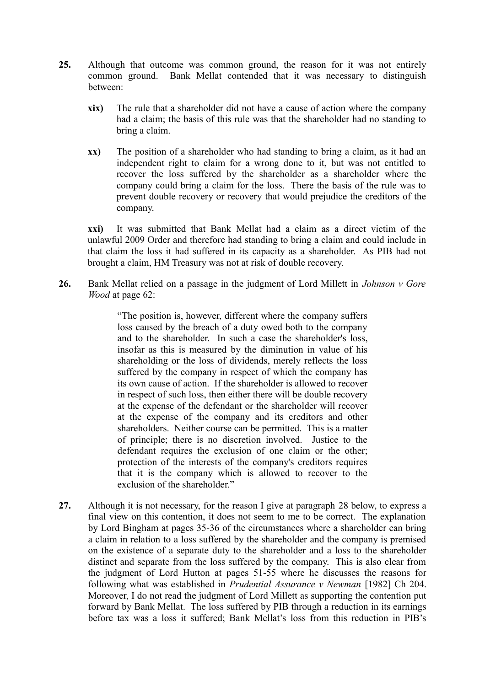- **25.** Although that outcome was common ground, the reason for it was not entirely common ground. Bank Mellat contended that it was necessary to distinguish between:
	- **xix)** The rule that a shareholder did not have a cause of action where the company had a claim; the basis of this rule was that the shareholder had no standing to bring a claim.
	- **xx)** The position of a shareholder who had standing to bring a claim, as it had an independent right to claim for a wrong done to it, but was not entitled to recover the loss suffered by the shareholder as a shareholder where the company could bring a claim for the loss. There the basis of the rule was to prevent double recovery or recovery that would prejudice the creditors of the company.

**xxi)** It was submitted that Bank Mellat had a claim as a direct victim of the unlawful 2009 Order and therefore had standing to bring a claim and could include in that claim the loss it had suffered in its capacity as a shareholder. As PIB had not brought a claim, HM Treasury was not at risk of double recovery.

**26.** Bank Mellat relied on a passage in the judgment of Lord Millett in *Johnson v Gore Wood* at page 62:

> "The position is, however, different where the company suffers loss caused by the breach of a duty owed both to the company and to the shareholder. In such a case the shareholder's loss, insofar as this is measured by the diminution in value of his shareholding or the loss of dividends, merely reflects the loss suffered by the company in respect of which the company has its own cause of action. If the shareholder is allowed to recover in respect of such loss, then either there will be double recovery at the expense of the defendant or the shareholder will recover at the expense of the company and its creditors and other shareholders. Neither course can be permitted. This is a matter of principle; there is no discretion involved. Justice to the defendant requires the exclusion of one claim or the other; protection of the interests of the company's creditors requires that it is the company which is allowed to recover to the exclusion of the shareholder."

**27.** Although it is not necessary, for the reason I give at paragraph [28](#page-7-0) below, to express a final view on this contention, it does not seem to me to be correct. The explanation by Lord Bingham at pages 35-36 of the circumstances where a shareholder can bring a claim in relation to a loss suffered by the shareholder and the company is premised on the existence of a separate duty to the shareholder and a loss to the shareholder distinct and separate from the loss suffered by the company. This is also clear from the judgment of Lord Hutton at pages 51-55 where he discusses the reasons for following what was established in *Prudential Assurance v Newman* [1982] Ch 204. Moreover, I do not read the judgment of Lord Millett as supporting the contention put forward by Bank Mellat. The loss suffered by PIB through a reduction in its earnings before tax was a loss it suffered; Bank Mellat's loss from this reduction in PIB's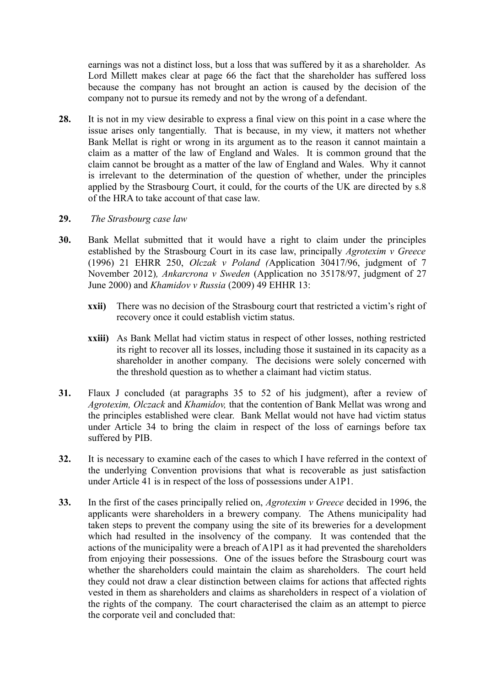earnings was not a distinct loss, but a loss that was suffered by it as a shareholder. As Lord Millett makes clear at page 66 the fact that the shareholder has suffered loss because the company has not brought an action is caused by the decision of the company not to pursue its remedy and not by the wrong of a defendant.

<span id="page-7-0"></span>**28.** It is not in my view desirable to express a final view on this point in a case where the issue arises only tangentially. That is because, in my view, it matters not whether Bank Mellat is right or wrong in its argument as to the reason it cannot maintain a claim as a matter of the law of England and Wales. It is common ground that the claim cannot be brought as a matter of the law of England and Wales. Why it cannot is irrelevant to the determination of the question of whether, under the principles applied by the Strasbourg Court, it could, for the courts of the UK are directed by s.8 of the HRA to take account of that case law.

#### **29.** *The Strasbourg case law*

- **30.** Bank Mellat submitted that it would have a right to claim under the principles established by the Strasbourg Court in its case law, principally *Agrotexim v Greece* (1996) 21 EHRR 250, *Olczak v Poland (*Application 30417/96, judgment of 7 November 2012)*, Ankarcrona v Sweden* (Application no 35178/97, judgment of 27 June 2000) and *Khamidov v Russia* (2009) 49 EHHR 13:
	- **xxii)** There was no decision of the Strasbourg court that restricted a victim's right of recovery once it could establish victim status.
	- **xxiii)** As Bank Mellat had victim status in respect of other losses, nothing restricted its right to recover all its losses, including those it sustained in its capacity as a shareholder in another company. The decisions were solely concerned with the threshold question as to whether a claimant had victim status.
- **31.** Flaux J concluded (at paragraphs 35 to 52 of his judgment), after a review of *Agrotexim, Olczack* and *Khamidov,* that the contention of Bank Mellat was wrong and the principles established were clear. Bank Mellat would not have had victim status under Article 34 to bring the claim in respect of the loss of earnings before tax suffered by PIB.
- **32.** It is necessary to examine each of the cases to which I have referred in the context of the underlying Convention provisions that what is recoverable as just satisfaction under Article 41 is in respect of the loss of possessions under A1P1.
- **33.** In the first of the cases principally relied on, *Agrotexim v Greece* decided in 1996, the applicants were shareholders in a brewery company. The Athens municipality had taken steps to prevent the company using the site of its breweries for a development which had resulted in the insolvency of the company. It was contended that the actions of the municipality were a breach of A1P1 as it had prevented the shareholders from enjoying their possessions. One of the issues before the Strasbourg court was whether the shareholders could maintain the claim as shareholders. The court held they could not draw a clear distinction between claims for actions that affected rights vested in them as shareholders and claims as shareholders in respect of a violation of the rights of the company. The court characterised the claim as an attempt to pierce the corporate veil and concluded that: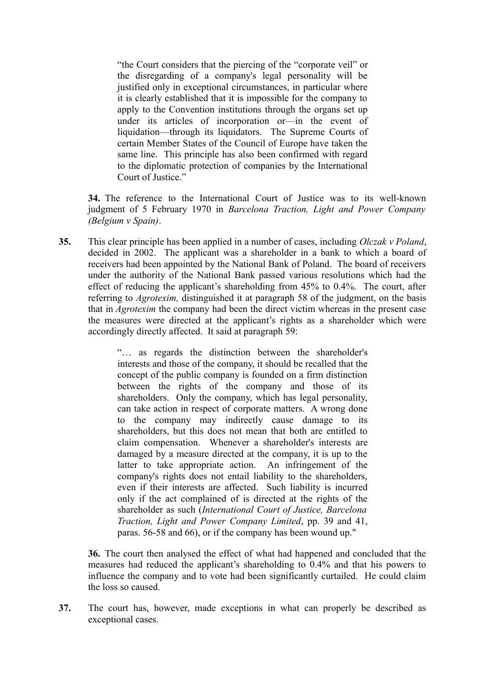"the Court considers that the piercing of the "corporate veil" or the disregarding of a company's legal personality will be justified only in exceptional circumstances, in particular where it is clearly established that it is impossible for the company to apply to the Convention institutions through the organs set up under its articles of incorporation or—in the event of liquidation—through its liquidators. The Supreme Courts of certain Member States of the Council of Europe have taken the same line. This principle has also been confirmed with regard to the diplomatic protection of companies by the International Court of Justice."

**34.** The reference to the International Court of Justice was to its well-known judgment of 5 February 1970 in *Barcelona Traction, Light and Power Company (Belgium v Spain)*.

**35.** This clear principle has been applied in a number of cases, including *Olczak v Poland*, decided in 2002. The applicant was a shareholder in a bank to which a board of receivers had been appointed by the National Bank of Poland. The board of receivers under the authority of the National Bank passed various resolutions which had the effect of reducing the applicant's shareholding from 45% to 0.4%. The court, after referring to *Agrotexim,* distinguished it at paragraph 58 of the judgment, on the basis that in *Agrotexim* the company had been the direct victim whereas in the present case the measures were directed at the applicant's rights as a shareholder which were accordingly directly affected. It said at paragraph 59:

> "… as regards the distinction between the shareholder's interests and those of the company, it should be recalled that the concept of the public company is founded on a firm distinction between the rights of the company and those of its shareholders. Only the company, which has legal personality, can take action in respect of corporate matters. A wrong done to the company may indirectly cause damage to its shareholders, but this does not mean that both are entitled to claim compensation. Whenever a shareholder's interests are damaged by a measure directed at the company, it is up to the latter to take appropriate action. An infringement of the company's rights does not entail liability to the shareholders, even if their interests are affected. Such liability is incurred only if the act complained of is directed at the rights of the shareholder as such (*International Court of Justice, Barcelona Traction, Light and Power Company Limited*, pp. 39 and 41, paras. 56-58 and 66), or if the company has been wound up."

**36.** The court then analysed the effect of what had happened and concluded that the measures had reduced the applicant's shareholding to 0.4% and that his powers to influence the company and to vote had been significantly curtailed. He could claim the loss so caused.

**37.** The court has, however, made exceptions in what can properly be described as exceptional cases.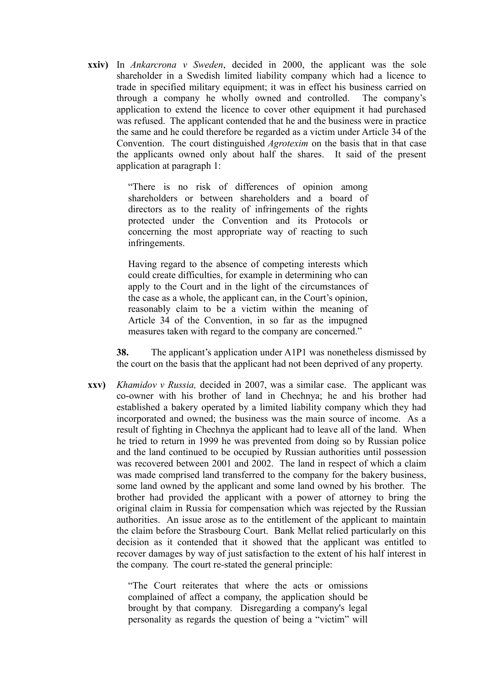**xxiv)** In *Ankarcrona v Sweden*, decided in 2000, the applicant was the sole shareholder in a Swedish limited liability company which had a licence to trade in specified military equipment; it was in effect his business carried on through a company he wholly owned and controlled. The company's application to extend the licence to cover other equipment it had purchased was refused. The applicant contended that he and the business were in practice the same and he could therefore be regarded as a victim under Article 34 of the Convention. The court distinguished *Agrotexim* on the basis that in that case the applicants owned only about half the shares. It said of the present application at paragraph 1:

> "There is no risk of differences of opinion among shareholders or between shareholders and a board of directors as to the reality of infringements of the rights protected under the Convention and its Protocols or concerning the most appropriate way of reacting to such infringements.

> Having regard to the absence of competing interests which could create difficulties, for example in determining who can apply to the Court and in the light of the circumstances of the case as a whole, the applicant can, in the Court's opinion, reasonably claim to be a victim within the meaning of Article 34 of the Convention, in so far as the impugned measures taken with regard to the company are concerned."

**38.** The applicant's application under A1P1 was nonetheless dismissed by the court on the basis that the applicant had not been deprived of any property.

**xxv)** *Khamidov v Russia,* decided in 2007, was a similar case. The applicant was co-owner with his brother of land in Chechnya; he and his brother had established a bakery operated by a limited liability company which they had incorporated and owned; the business was the main source of income. As a result of fighting in Chechnya the applicant had to leave all of the land. When he tried to return in 1999 he was prevented from doing so by Russian police and the land continued to be occupied by Russian authorities until possession was recovered between 2001 and 2002. The land in respect of which a claim was made comprised land transferred to the company for the bakery business, some land owned by the applicant and some land owned by his brother. The brother had provided the applicant with a power of attorney to bring the original claim in Russia for compensation which was rejected by the Russian authorities. An issue arose as to the entitlement of the applicant to maintain the claim before the Strasbourg Court. Bank Mellat relied particularly on this decision as it contended that it showed that the applicant was entitled to recover damages by way of just satisfaction to the extent of his half interest in the company. The court re-stated the general principle:

> "The Court reiterates that where the acts or omissions complained of affect a company, the application should be brought by that company. Disregarding a company's legal personality as regards the question of being a "victim" will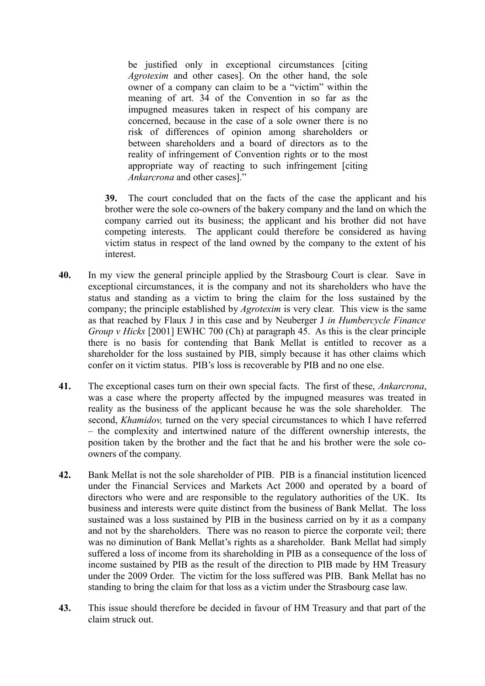be justified only in exceptional circumstances [citing *Agrotexim* and other cases]. On the other hand, the sole owner of a company can claim to be a "victim" within the meaning of art. 34 of the Convention in so far as the impugned measures taken in respect of his company are concerned, because in the case of a sole owner there is no risk of differences of opinion among shareholders or between shareholders and a board of directors as to the reality of infringement of Convention rights or to the most appropriate way of reacting to such infringement [citing *Ankarcrona* and other cases]."

**39.** The court concluded that on the facts of the case the applicant and his brother were the sole co-owners of the bakery company and the land on which the company carried out its business; the applicant and his brother did not have competing interests. The applicant could therefore be considered as having victim status in respect of the land owned by the company to the extent of his interest.

- **40.** In my view the general principle applied by the Strasbourg Court is clear. Save in exceptional circumstances, it is the company and not its shareholders who have the status and standing as a victim to bring the claim for the loss sustained by the company; the principle established by *Agrotexim* is very clear. This view is the same as that reached by Flaux J in this case and by Neuberger J *in Humbercycle Finance Group v Hicks* [2001] EWHC 700 (Ch) at paragraph 45. As this is the clear principle there is no basis for contending that Bank Mellat is entitled to recover as a shareholder for the loss sustained by PIB, simply because it has other claims which confer on it victim status. PIB's loss is recoverable by PIB and no one else.
- **41.** The exceptional cases turn on their own special facts. The first of these, *Ankarcrona*, was a case where the property affected by the impugned measures was treated in reality as the business of the applicant because he was the sole shareholder. The second, *Khamidov,* turned on the very special circumstances to which I have referred – the complexity and intertwined nature of the different ownership interests, the position taken by the brother and the fact that he and his brother were the sole coowners of the company.
- **42.** Bank Mellat is not the sole shareholder of PIB. PIB is a financial institution licenced under the Financial Services and Markets Act 2000 and operated by a board of directors who were and are responsible to the regulatory authorities of the UK. Its business and interests were quite distinct from the business of Bank Mellat. The loss sustained was a loss sustained by PIB in the business carried on by it as a company and not by the shareholders. There was no reason to pierce the corporate veil; there was no diminution of Bank Mellat's rights as a shareholder. Bank Mellat had simply suffered a loss of income from its shareholding in PIB as a consequence of the loss of income sustained by PIB as the result of the direction to PIB made by HM Treasury under the 2009 Order. The victim for the loss suffered was PIB. Bank Mellat has no standing to bring the claim for that loss as a victim under the Strasbourg case law.
- **43.** This issue should therefore be decided in favour of HM Treasury and that part of the claim struck out.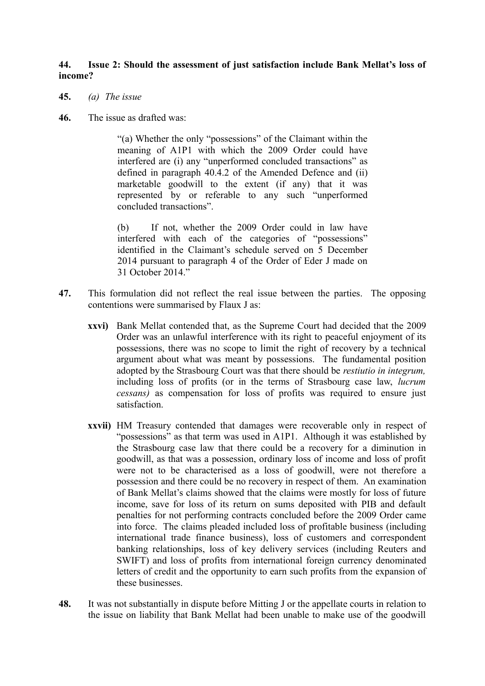#### **44. Issue 2: Should the assessment of just satisfaction include Bank Mellat's loss of income?**

- <span id="page-11-0"></span>**45.** *(a) The issue*
- **46.** The issue as drafted was:

"(a) Whether the only "possessions" of the Claimant within the meaning of A1P1 with which the 2009 Order could have interfered are (i) any "unperformed concluded transactions" as defined in paragraph 40.4.2 of the Amended Defence and (ii) marketable goodwill to the extent (if any) that it was represented by or referable to any such "unperformed concluded transactions".

(b) If not, whether the 2009 Order could in law have interfered with each of the categories of "possessions" identified in the Claimant's schedule served on 5 December 2014 pursuant to paragraph 4 of the Order of Eder J made on 31 October 2014."

- **47.** This formulation did not reflect the real issue between the parties. The opposing contentions were summarised by Flaux J as:
	- **xxvi)** Bank Mellat contended that, as the Supreme Court had decided that the 2009 Order was an unlawful interference with its right to peaceful enjoyment of its possessions, there was no scope to limit the right of recovery by a technical argument about what was meant by possessions. The fundamental position adopted by the Strasbourg Court was that there should be *restiutio in integrum,* including loss of profits (or in the terms of Strasbourg case law, *lucrum cessans)* as compensation for loss of profits was required to ensure just satisfaction.
	- **xxvii)** HM Treasury contended that damages were recoverable only in respect of "possessions" as that term was used in A1P1. Although it was established by the Strasbourg case law that there could be a recovery for a diminution in goodwill, as that was a possession, ordinary loss of income and loss of profit were not to be characterised as a loss of goodwill, were not therefore a possession and there could be no recovery in respect of them. An examination of Bank Mellat's claims showed that the claims were mostly for loss of future income, save for loss of its return on sums deposited with PIB and default penalties for not performing contracts concluded before the 2009 Order came into force. The claims pleaded included loss of profitable business (including international trade finance business), loss of customers and correspondent banking relationships, loss of key delivery services (including Reuters and SWIFT) and loss of profits from international foreign currency denominated letters of credit and the opportunity to earn such profits from the expansion of these businesses.
- **48.** It was not substantially in dispute before Mitting J or the appellate courts in relation to the issue on liability that Bank Mellat had been unable to make use of the goodwill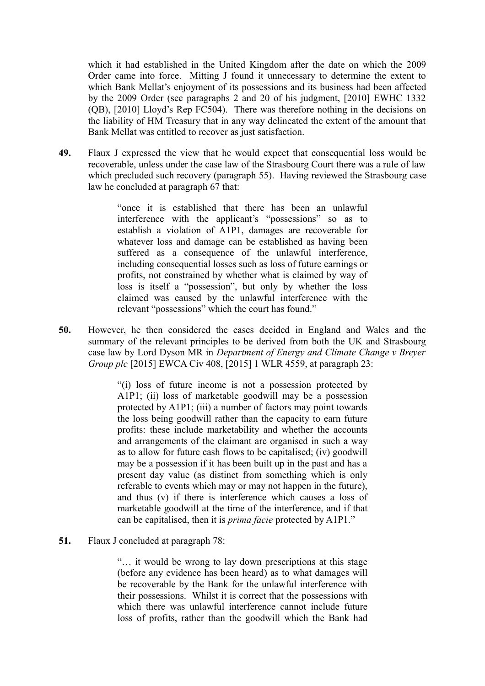which it had established in the United Kingdom after the date on which the 2009 Order came into force. Mitting J found it unnecessary to determine the extent to which Bank Mellat's enjoyment of its possessions and its business had been affected by the 2009 Order (see paragraphs 2 and 20 of his judgment, [2010] EWHC 1332 (QB), [2010] Lloyd's Rep FC504). There was therefore nothing in the decisions on the liability of HM Treasury that in any way delineated the extent of the amount that Bank Mellat was entitled to recover as just satisfaction.

**49.** Flaux J expressed the view that he would expect that consequential loss would be recoverable, unless under the case law of the Strasbourg Court there was a rule of law which precluded such recovery (paragraph 55). Having reviewed the Strasbourg case law he concluded at paragraph 67 that:

> "once it is established that there has been an unlawful interference with the applicant's "possessions" so as to establish a violation of A1P1, damages are recoverable for whatever loss and damage can be established as having been suffered as a consequence of the unlawful interference, including consequential losses such as loss of future earnings or profits, not constrained by whether what is claimed by way of loss is itself a "possession", but only by whether the loss claimed was caused by the unlawful interference with the relevant "possessions" which the court has found."

**50.** However, he then considered the cases decided in England and Wales and the summary of the relevant principles to be derived from both the UK and Strasbourg case law by Lord Dyson MR in *Department of Energy and Climate Change v Breyer Group plc* [2015] EWCA Civ 408, [2015] 1 WLR 4559, at paragraph 23:

> "(i) loss of future income is not a possession protected by A1P1; (ii) loss of marketable goodwill may be a possession protected by A1P1; (iii) a number of factors may point towards the loss being goodwill rather than the capacity to earn future profits: these include marketability and whether the accounts and arrangements of the claimant are organised in such a way as to allow for future cash flows to be capitalised; (iv) goodwill may be a possession if it has been built up in the past and has a present day value (as distinct from something which is only referable to events which may or may not happen in the future), and thus (v) if there is interference which causes a loss of marketable goodwill at the time of the interference, and if that can be capitalised, then it is *prima facie* protected by A1P1."

**51.** Flaux J concluded at paragraph 78:

"… it would be wrong to lay down prescriptions at this stage (before any evidence has been heard) as to what damages will be recoverable by the Bank for the unlawful interference with their possessions. Whilst it is correct that the possessions with which there was unlawful interference cannot include future loss of profits, rather than the goodwill which the Bank had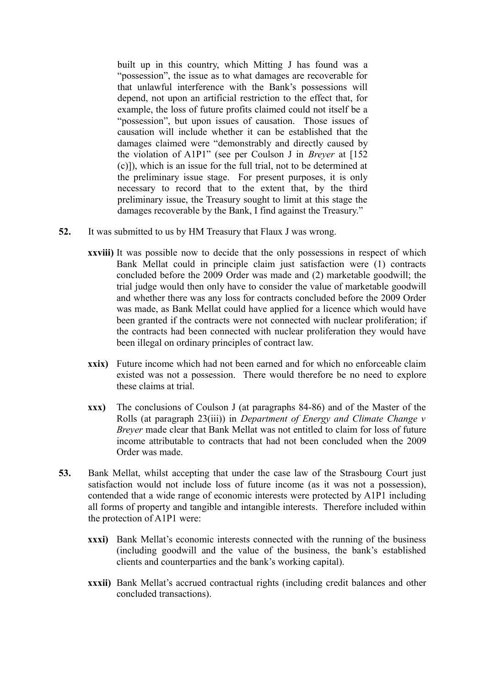built up in this country, which Mitting J has found was a "possession", the issue as to what damages are recoverable for that unlawful interference with the Bank's possessions will depend, not upon an artificial restriction to the effect that, for example, the loss of future profits claimed could not itself be a "possession", but upon issues of causation. Those issues of causation will include whether it can be established that the damages claimed were "demonstrably and directly caused by the violation of A1P1" (see per Coulson J in *Breyer* at [152 (c)]), which is an issue for the full trial, not to be determined at the preliminary issue stage. For present purposes, it is only necessary to record that to the extent that, by the third preliminary issue, the Treasury sought to limit at this stage the damages recoverable by the Bank, I find against the Treasury."

- **52.** It was submitted to us by HM Treasury that Flaux J was wrong.
	- **xxviii)** It was possible now to decide that the only possessions in respect of which Bank Mellat could in principle claim just satisfaction were (1) contracts concluded before the 2009 Order was made and (2) marketable goodwill; the trial judge would then only have to consider the value of marketable goodwill and whether there was any loss for contracts concluded before the 2009 Order was made, as Bank Mellat could have applied for a licence which would have been granted if the contracts were not connected with nuclear proliferation; if the contracts had been connected with nuclear proliferation they would have been illegal on ordinary principles of contract law.
	- **xxix)** Future income which had not been earned and for which no enforceable claim existed was not a possession. There would therefore be no need to explore these claims at trial.
	- **xxx)** The conclusions of Coulson J (at paragraphs 84-86) and of the Master of the Rolls (at paragraph 23(iii)) in *Department of Energy and Climate Change v Breyer* made clear that Bank Mellat was not entitled to claim for loss of future income attributable to contracts that had not been concluded when the 2009 Order was made.
- **53.** Bank Mellat, whilst accepting that under the case law of the Strasbourg Court just satisfaction would not include loss of future income (as it was not a possession), contended that a wide range of economic interests were protected by A1P1 including all forms of property and tangible and intangible interests. Therefore included within the protection of A1P1 were:
	- **xxxi)** Bank Mellat's economic interests connected with the running of the business (including goodwill and the value of the business, the bank's established clients and counterparties and the bank's working capital).
	- **xxxii)** Bank Mellat's accrued contractual rights (including credit balances and other concluded transactions).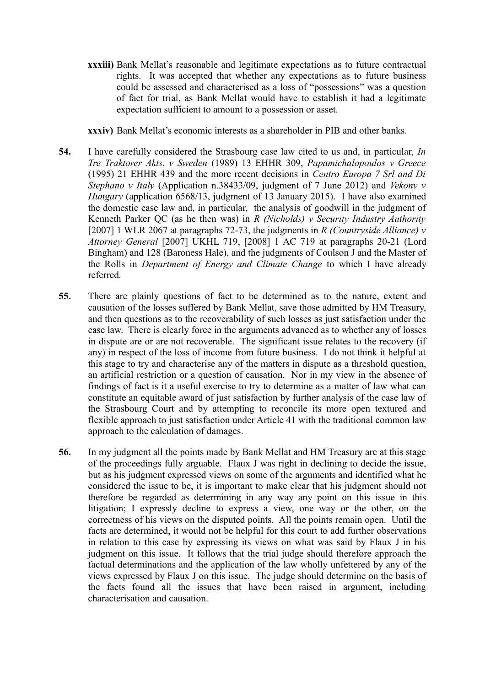**xxxiii)** Bank Mellat's reasonable and legitimate expectations as to future contractual rights. It was accepted that whether any expectations as to future business could be assessed and characterised as a loss of "possessions" was a question of fact for trial, as Bank Mellat would have to establish it had a legitimate expectation sufficient to amount to a possession or asset.

**xxxiv)** Bank Mellat's economic interests as a shareholder in PIB and other banks.

- **54.** I have carefully considered the Strasbourg case law cited to us and, in particular, *In Tre Traktorer Akts. v Sweden* (1989) 13 EHHR 309, *Papamichalopoulos v Greece* (1995) 21 EHHR 439 and the more recent decisions in *Centro Europa 7 Srl and Di Stephano v Italy* (Application n.38433/09, judgment of 7 June 2012) and *Vekony v Hungary* (application 6568/13, judgment of 13 January 2015). I have also examined the domestic case law and, in particular, the analysis of goodwill in the judgment of Kenneth Parker QC (as he then was) in *R (Nicholds) v Security Industry Authority* [2007] 1 WLR 2067 at paragraphs 72-73, the judgments in *R (Countryside Alliance) v Attorney General* [2007] UKHL 719, [2008] 1 AC 719 at paragraphs 20-21 (Lord Bingham) and 128 (Baroness Hale), and the judgments of Coulson J and the Master of the Rolls in *Department of Energy and Climate Change* to which I have already referred*.*
- **55.** There are plainly questions of fact to be determined as to the nature, extent and causation of the losses suffered by Bank Mellat, save those admitted by HM Treasury, and then questions as to the recoverability of such losses as just satisfaction under the case law. There is clearly force in the arguments advanced as to whether any of losses in dispute are or are not recoverable. The significant issue relates to the recovery (if any) in respect of the loss of income from future business. I do not think it helpful at this stage to try and characterise any of the matters in dispute as a threshold question, an artificial restriction or a question of causation. Nor in my view in the absence of findings of fact is it a useful exercise to try to determine as a matter of law what can constitute an equitable award of just satisfaction by further analysis of the case law of the Strasbourg Court and by attempting to reconcile its more open textured and flexible approach to just satisfaction under Article 41 with the traditional common law approach to the calculation of damages.
- **56.** In my judgment all the points made by Bank Mellat and HM Treasury are at this stage of the proceedings fully arguable. Flaux J was right in declining to decide the issue, but as his judgment expressed views on some of the arguments and identified what he considered the issue to be, it is important to make clear that his judgment should not therefore be regarded as determining in any way any point on this issue in this litigation; I expressly decline to express a view, one way or the other, on the correctness of his views on the disputed points. All the points remain open. Until the facts are determined, it would not be helpful for this court to add further observations in relation to this case by expressing its views on what was said by Flaux J in his judgment on this issue. It follows that the trial judge should therefore approach the factual determinations and the application of the law wholly unfettered by any of the views expressed by Flaux J on this issue. The judge should determine on the basis of the facts found all the issues that have been raised in argument, including characterisation and causation.